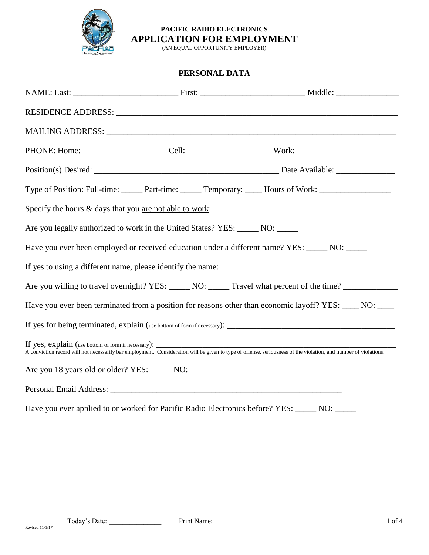

(AN EQUAL OPPORTUNITY EMPLOYER)

## **PERSONAL DATA**

|                                                                                                                                                                                                                        |  | Type of Position: Full-time: ______ Part-time: ______ Temporary: _____ Hours of Work: ______________ |  |  |  |
|------------------------------------------------------------------------------------------------------------------------------------------------------------------------------------------------------------------------|--|------------------------------------------------------------------------------------------------------|--|--|--|
|                                                                                                                                                                                                                        |  |                                                                                                      |  |  |  |
| Are you legally authorized to work in the United States? YES: _____ NO: _____                                                                                                                                          |  |                                                                                                      |  |  |  |
| Have you ever been employed or received education under a different name? YES: _____ NO: _____                                                                                                                         |  |                                                                                                      |  |  |  |
|                                                                                                                                                                                                                        |  |                                                                                                      |  |  |  |
| Are you willing to travel overnight? YES: ______ NO: ______ Travel what percent of the time? _________________                                                                                                         |  |                                                                                                      |  |  |  |
| Have you ever been terminated from a position for reasons other than economic layoff? YES: ____ NO: ____                                                                                                               |  |                                                                                                      |  |  |  |
|                                                                                                                                                                                                                        |  |                                                                                                      |  |  |  |
| If yes, explain (use bottom of form if necessary):<br>A conviction record will not necessarily bar employment. Consideration will be given to type of offense, seriousness of the violation, and number of violations. |  |                                                                                                      |  |  |  |
| Are you 18 years old or older? YES: _______ NO: ______                                                                                                                                                                 |  |                                                                                                      |  |  |  |
|                                                                                                                                                                                                                        |  |                                                                                                      |  |  |  |
| Have you ever applied to or worked for Pacific Radio Electronics before? YES: _____ NO: _____                                                                                                                          |  |                                                                                                      |  |  |  |

Revised 11/1/17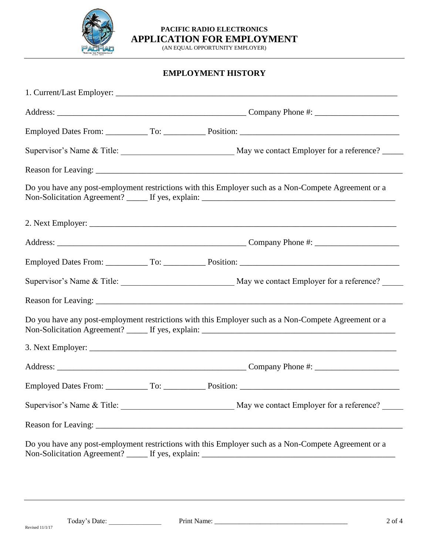

(AN EQUAL OPPORTUNITY EMPLOYER)

# **EMPLOYMENT HISTORY**

|                                                                                                      |  | Do you have any post-employment restrictions with this Employer such as a Non-Compete Agreement or a |  |  |
|------------------------------------------------------------------------------------------------------|--|------------------------------------------------------------------------------------------------------|--|--|
|                                                                                                      |  |                                                                                                      |  |  |
|                                                                                                      |  |                                                                                                      |  |  |
|                                                                                                      |  |                                                                                                      |  |  |
|                                                                                                      |  |                                                                                                      |  |  |
|                                                                                                      |  |                                                                                                      |  |  |
| Do you have any post-employment restrictions with this Employer such as a Non-Compete Agreement or a |  |                                                                                                      |  |  |
|                                                                                                      |  |                                                                                                      |  |  |
|                                                                                                      |  |                                                                                                      |  |  |
|                                                                                                      |  |                                                                                                      |  |  |
|                                                                                                      |  |                                                                                                      |  |  |
|                                                                                                      |  |                                                                                                      |  |  |
| Do you have any post-employment restrictions with this Employer such as a Non-Compete Agreement or a |  |                                                                                                      |  |  |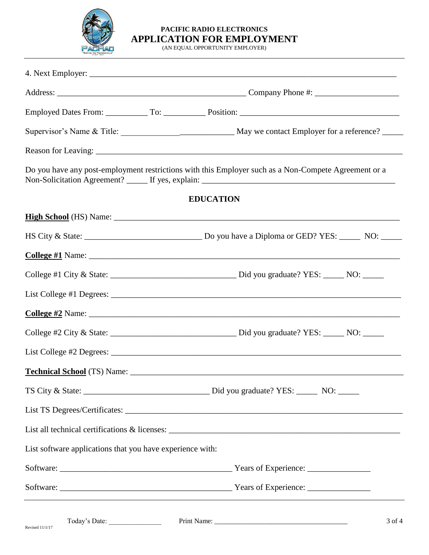

(AN EQUAL OPPORTUNITY EMPLOYER)

|                                                           | Do you have any post-employment restrictions with this Employer such as a Non-Compete Agreement or a |
|-----------------------------------------------------------|------------------------------------------------------------------------------------------------------|
|                                                           | <b>EDUCATION</b>                                                                                     |
|                                                           |                                                                                                      |
|                                                           |                                                                                                      |
|                                                           |                                                                                                      |
|                                                           |                                                                                                      |
|                                                           |                                                                                                      |
|                                                           |                                                                                                      |
|                                                           |                                                                                                      |
|                                                           |                                                                                                      |
|                                                           |                                                                                                      |
|                                                           |                                                                                                      |
|                                                           |                                                                                                      |
|                                                           |                                                                                                      |
| List software applications that you have experience with: |                                                                                                      |
|                                                           |                                                                                                      |
|                                                           |                                                                                                      |